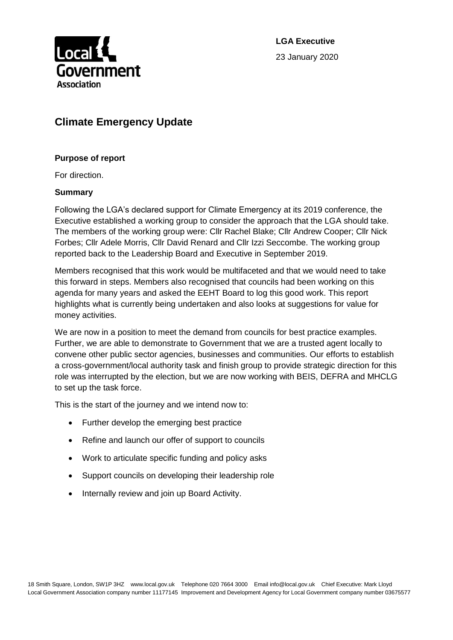

**LGA Executive** 23 January 2020

# **Climate Emergency Update**

#### **Purpose of report**

For direction.

#### **Summary**

Following the LGA's declared support for Climate Emergency at its 2019 conference, the Executive established a working group to consider the approach that the LGA should take. The members of the working group were: Cllr Rachel Blake; Cllr Andrew Cooper; Cllr Nick Forbes; Cllr Adele Morris, Cllr David Renard and Cllr Izzi Seccombe. The working group reported back to the Leadership Board and Executive in September 2019.

Members recognised that this work would be multifaceted and that we would need to take this forward in steps. Members also recognised that councils had been working on this agenda for many years and asked the EEHT Board to log this good work. This report highlights what is currently being undertaken and also looks at suggestions for value for money activities.

We are now in a position to meet the demand from councils for best practice examples. Further, we are able to demonstrate to Government that we are a trusted agent locally to convene other public sector agencies, businesses and communities. Our efforts to establish a cross-government/local authority task and finish group to provide strategic direction for this role was interrupted by the election, but we are now working with BEIS, DEFRA and MHCLG to set up the task force.

This is the start of the journey and we intend now to:

- Further develop the emerging best practice
- Refine and launch our offer of support to councils
- Work to articulate specific funding and policy asks
- Support councils on developing their leadership role
- Internally review and join up Board Activity.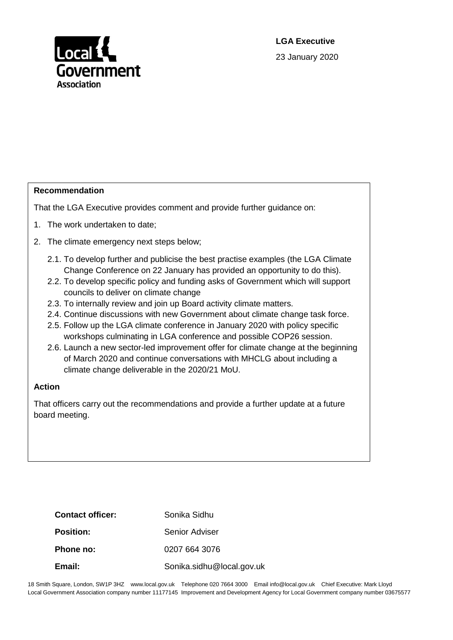

**LGA Executive** 23 January 2020

#### **Recommendation**

That the LGA Executive provides comment and provide further guidance on:

- 1. The work undertaken to date;
- 2. The climate emergency next steps below;
	- 2.1. To develop further and publicise the best practise examples (the LGA Climate Change Conference on 22 January has provided an opportunity to do this).
	- 2.2. To develop specific policy and funding asks of Government which will support councils to deliver on climate change
	- 2.3. To internally review and join up Board activity climate matters.
	- 2.4. Continue discussions with new Government about climate change task force.
	- 2.5. Follow up the LGA climate conference in January 2020 with policy specific workshops culminating in LGA conference and possible COP26 session.
	- 2.6. Launch a new sector-led improvement offer for climate change at the beginning of March 2020 and continue conversations with MHCLG about including a climate change deliverable in the 2020/21 MoU.

#### **Action**

That officers carry out the recommendations and provide a further update at a future board meeting.

| <b>Contact officer:</b> | Sonika Sidhu              |
|-------------------------|---------------------------|
| <b>Position:</b>        | Senior Adviser            |
| Phone no:               | 0207 664 3076             |
| Email:                  | Sonika.sidhu@local.gov.uk |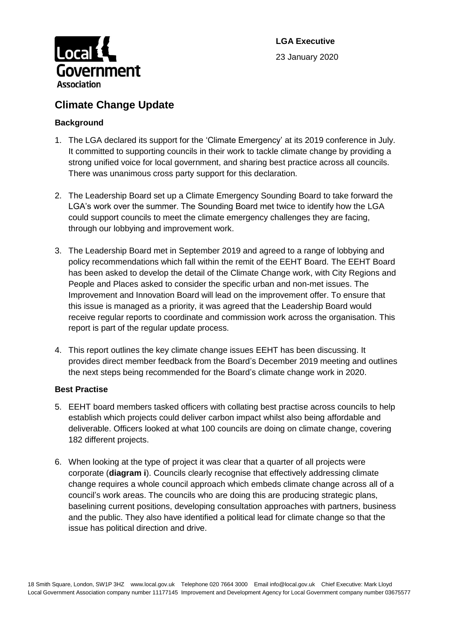

# **Climate Change Update**

## **Background**

- 1. The LGA declared its support for the 'Climate Emergency' at its 2019 conference in July. It committed to supporting councils in their work to tackle climate change by providing a strong unified voice for local government, and sharing best practice across all councils. There was unanimous cross party support for this declaration.
- 2. The Leadership Board set up a Climate Emergency Sounding Board to take forward the LGA's work over the summer. The Sounding Board met twice to identify how the LGA could support councils to meet the climate emergency challenges they are facing, through our lobbying and improvement work.
- 3. The Leadership Board met in September 2019 and agreed to a range of lobbying and policy recommendations which fall within the remit of the EEHT Board. The EEHT Board has been asked to develop the detail of the Climate Change work, with City Regions and People and Places asked to consider the specific urban and non-met issues. The Improvement and Innovation Board will lead on the improvement offer. To ensure that this issue is managed as a priority, it was agreed that the Leadership Board would receive regular reports to coordinate and commission work across the organisation. This report is part of the regular update process.
- 4. This report outlines the key climate change issues EEHT has been discussing. It provides direct member feedback from the Board's December 2019 meeting and outlines the next steps being recommended for the Board's climate change work in 2020.

## **Best Practise**

- 5. EEHT board members tasked officers with collating best practise across councils to help establish which projects could deliver carbon impact whilst also being affordable and deliverable. Officers looked at what 100 councils are doing on climate change, covering 182 different projects.
- 6. When looking at the type of project it was clear that a quarter of all projects were corporate (**diagram i**). Councils clearly recognise that effectively addressing climate change requires a whole council approach which embeds climate change across all of a council's work areas. The councils who are doing this are producing strategic plans, baselining current positions, developing consultation approaches with partners, business and the public. They also have identified a political lead for climate change so that the issue has political direction and drive.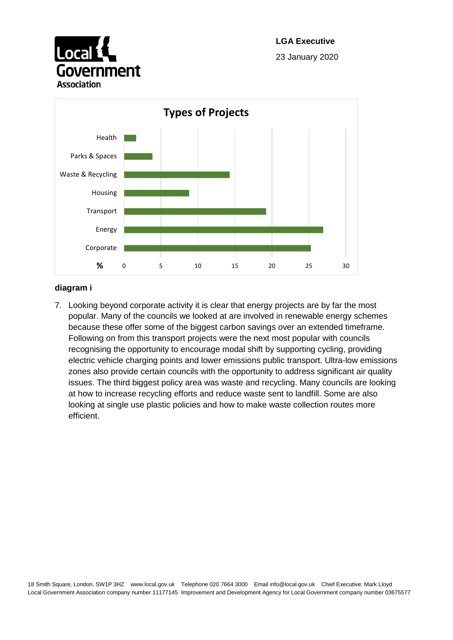



#### **diagram i**

7. Looking beyond corporate activity it is clear that energy projects are by far the most popular. Many of the councils we looked at are involved in renewable energy schemes because these offer some of the biggest carbon savings over an extended timeframe. Following on from this transport projects were the next most popular with councils recognising the opportunity to encourage modal shift by supporting cycling, providing electric vehicle charging points and lower emissions public transport. Ultra-low emissions zones also provide certain councils with the opportunity to address significant air quality issues. The third biggest policy area was waste and recycling. Many councils are looking at how to increase recycling efforts and reduce waste sent to landfill. Some are also looking at single use plastic policies and how to make waste collection routes more efficient.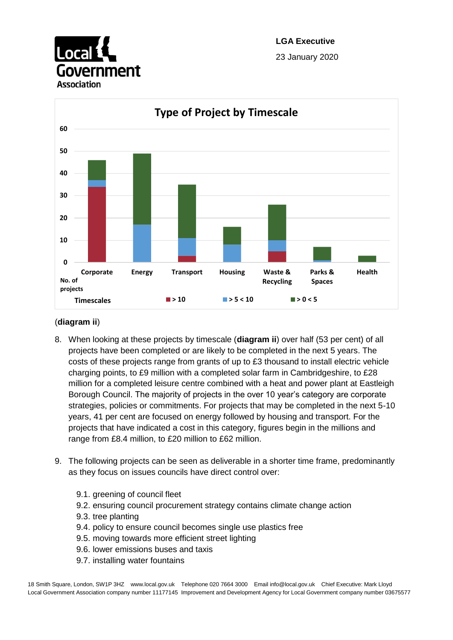



## (**diagram ii**)

- 8. When looking at these projects by timescale (**diagram ii**) over half (53 per cent) of all projects have been completed or are likely to be completed in the next 5 years. The costs of these projects range from grants of up to £3 thousand to install electric vehicle charging points, to £9 million with a completed solar farm in Cambridgeshire, to £28 million for a completed leisure centre combined with a heat and power plant at Eastleigh Borough Council. The majority of projects in the over 10 year's category are corporate strategies, policies or commitments. For projects that may be completed in the next 5-10 years, 41 per cent are focused on energy followed by housing and transport. For the projects that have indicated a cost in this category, figures begin in the millions and range from £8.4 million, to £20 million to £62 million.
- 9. The following projects can be seen as deliverable in a shorter time frame, predominantly as they focus on issues councils have direct control over:
	- 9.1. greening of council fleet
	- 9.2. ensuring council procurement strategy contains climate change action
	- 9.3. tree planting
	- 9.4. policy to ensure council becomes single use plastics free
	- 9.5. moving towards more efficient street lighting
	- 9.6. lower emissions buses and taxis
	- 9.7. installing water fountains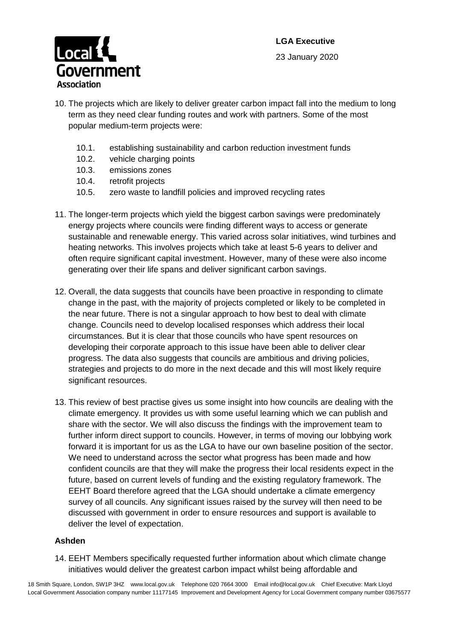

- 10.1. establishing sustainability and carbon reduction investment funds
- 10.2. vehicle charging points
- 10.3. emissions zones
- 10.4. retrofit projects
- 10.5. zero waste to landfill policies and improved recycling rates
- 11. The longer-term projects which yield the biggest carbon savings were predominately energy projects where councils were finding different ways to access or generate sustainable and renewable energy. This varied across solar initiatives, wind turbines and heating networks. This involves projects which take at least 5-6 years to deliver and often require significant capital investment. However, many of these were also income generating over their life spans and deliver significant carbon savings.
- 12. Overall, the data suggests that councils have been proactive in responding to climate change in the past, with the majority of projects completed or likely to be completed in the near future. There is not a singular approach to how best to deal with climate change. Councils need to develop localised responses which address their local circumstances. But it is clear that those councils who have spent resources on developing their corporate approach to this issue have been able to deliver clear progress. The data also suggests that councils are ambitious and driving policies, strategies and projects to do more in the next decade and this will most likely require significant resources.
- 13. This review of best practise gives us some insight into how councils are dealing with the climate emergency. It provides us with some useful learning which we can publish and share with the sector. We will also discuss the findings with the improvement team to further inform direct support to councils. However, in terms of moving our lobbying work forward it is important for us as the LGA to have our own baseline position of the sector. We need to understand across the sector what progress has been made and how confident councils are that they will make the progress their local residents expect in the future, based on current levels of funding and the existing regulatory framework. The EEHT Board therefore agreed that the LGA should undertake a climate emergency survey of all councils. Any significant issues raised by the survey will then need to be discussed with government in order to ensure resources and support is available to deliver the level of expectation.

#### **Ashden**

14. EEHT Members specifically requested further information about which climate change initiatives would deliver the greatest carbon impact whilst being affordable and

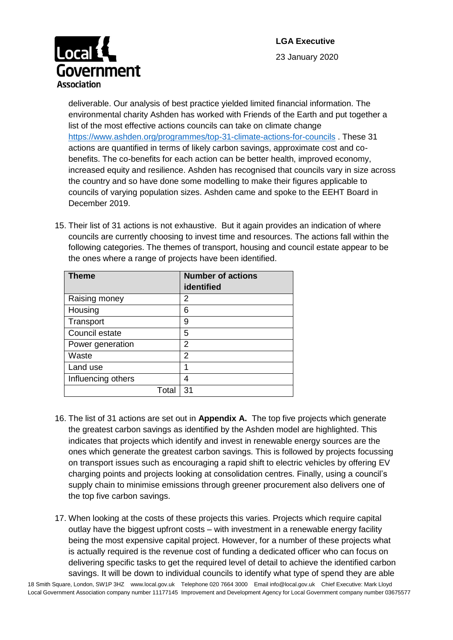

deliverable. Our analysis of best practice yielded limited financial information. The environmental charity Ashden has worked with Friends of the Earth and put together a list of the most effective actions councils can take on climate change <https://www.ashden.org/programmes/top-31-climate-actions-for-councils> . These 31 actions are quantified in terms of likely carbon savings, approximate cost and cobenefits. The co-benefits for each action can be better health, improved economy, increased equity and resilience. Ashden has recognised that councils vary in size across the country and so have done some modelling to make their figures applicable to councils of varying population sizes. Ashden came and spoke to the EEHT Board in December 2019.

15. Their list of 31 actions is not exhaustive. But it again provides an indication of where councils are currently choosing to invest time and resources. The actions fall within the following categories. The themes of transport, housing and council estate appear to be the ones where a range of projects have been identified.

| <b>Theme</b>       | <b>Number of actions</b> |
|--------------------|--------------------------|
|                    | identified               |
| Raising money      | 2                        |
| Housing            | 6                        |
| Transport          | 9                        |
| Council estate     | 5                        |
| Power generation   | 2                        |
| Waste              | 2                        |
| Land use           | 1                        |
| Influencing others | 4                        |
| Total              | 31                       |

- 16. The list of 31 actions are set out in **Appendix A.** The top five projects which generate the greatest carbon savings as identified by the Ashden model are highlighted. This indicates that projects which identify and invest in renewable energy sources are the ones which generate the greatest carbon savings. This is followed by projects focussing on transport issues such as encouraging a rapid shift to electric vehicles by offering EV charging points and projects looking at consolidation centres. Finally, using a council's supply chain to minimise emissions through greener procurement also delivers one of the top five carbon savings.
- 17. When looking at the costs of these projects this varies. Projects which require capital outlay have the biggest upfront costs – with investment in a renewable energy facility being the most expensive capital project. However, for a number of these projects what is actually required is the revenue cost of funding a dedicated officer who can focus on delivering specific tasks to get the required level of detail to achieve the identified carbon savings. It will be down to individual councils to identify what type of spend they are able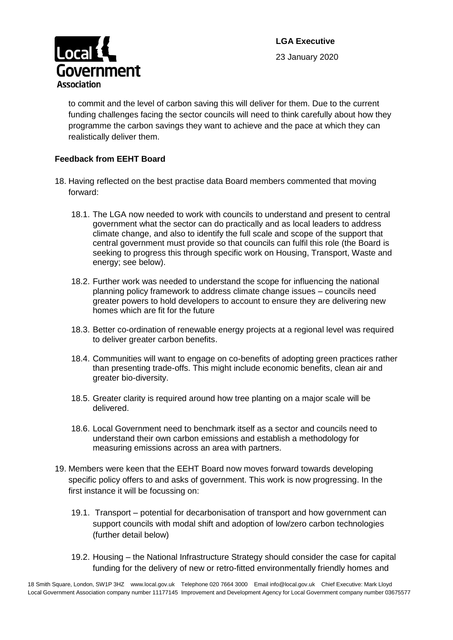



to commit and the level of carbon saving this will deliver for them. Due to the current funding challenges facing the sector councils will need to think carefully about how they programme the carbon savings they want to achieve and the pace at which they can realistically deliver them.

#### **Feedback from EEHT Board**

- 18. Having reflected on the best practise data Board members commented that moving forward:
	- 18.1. The LGA now needed to work with councils to understand and present to central government what the sector can do practically and as local leaders to address climate change, and also to identify the full scale and scope of the support that central government must provide so that councils can fulfil this role (the Board is seeking to progress this through specific work on Housing, Transport, Waste and energy; see below).
	- 18.2. Further work was needed to understand the scope for influencing the national planning policy framework to address climate change issues – councils need greater powers to hold developers to account to ensure they are delivering new homes which are fit for the future
	- 18.3. Better co-ordination of renewable energy projects at a regional level was required to deliver greater carbon benefits.
	- 18.4. Communities will want to engage on co-benefits of adopting green practices rather than presenting trade-offs. This might include economic benefits, clean air and greater bio-diversity.
	- 18.5. Greater clarity is required around how tree planting on a major scale will be delivered.
	- 18.6. Local Government need to benchmark itself as a sector and councils need to understand their own carbon emissions and establish a methodology for measuring emissions across an area with partners.
- 19. Members were keen that the EEHT Board now moves forward towards developing specific policy offers to and asks of government. This work is now progressing. In the first instance it will be focussing on:
	- 19.1. Transport potential for decarbonisation of transport and how government can support councils with modal shift and adoption of low/zero carbon technologies (further detail below)
	- 19.2. Housing the National Infrastructure Strategy should consider the case for capital funding for the delivery of new or retro-fitted environmentally friendly homes and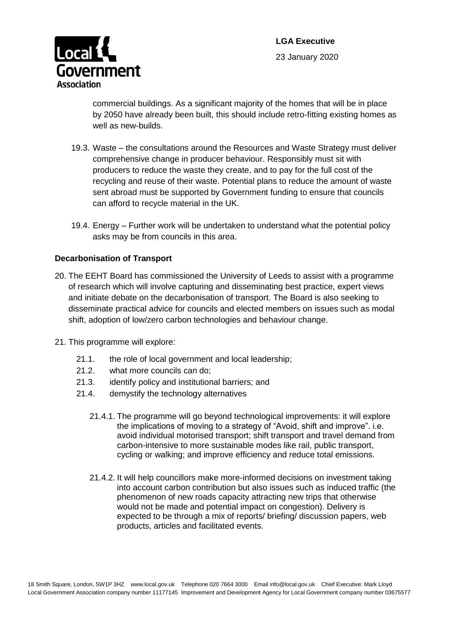



commercial buildings. As a significant majority of the homes that will be in place by 2050 have already been built, this should include retro-fitting existing homes as well as new-builds.

- 19.3. Waste the consultations around the Resources and Waste Strategy must deliver comprehensive change in producer behaviour. Responsibly must sit with producers to reduce the waste they create, and to pay for the full cost of the recycling and reuse of their waste. Potential plans to reduce the amount of waste sent abroad must be supported by Government funding to ensure that councils can afford to recycle material in the UK.
- 19.4. Energy Further work will be undertaken to understand what the potential policy asks may be from councils in this area.

#### **Decarbonisation of Transport**

- 20. The EEHT Board has commissioned the University of Leeds to assist with a programme of research which will involve capturing and disseminating best practice, expert views and initiate debate on the decarbonisation of transport. The Board is also seeking to disseminate practical advice for councils and elected members on issues such as modal shift, adoption of low/zero carbon technologies and behaviour change.
- 21. This programme will explore:
	- 21.1. the role of local government and local leadership;
	- 21.2. what more councils can do;
	- 21.3. identify policy and institutional barriers; and
	- 21.4. demystify the technology alternatives
		- 21.4.1. The programme will go beyond technological improvements: it will explore the implications of moving to a strategy of "Avoid, shift and improve". i.e. avoid individual motorised transport; shift transport and travel demand from carbon-intensive to more sustainable modes like rail, public transport, cycling or walking; and improve efficiency and reduce total emissions.
		- 21.4.2. It will help councillors make more-informed decisions on investment taking into account carbon contribution but also issues such as induced traffic (the phenomenon of new roads capacity attracting new trips that otherwise would not be made and potential impact on congestion). Delivery is expected to be through a mix of reports/ briefing/ discussion papers, web products, articles and facilitated events.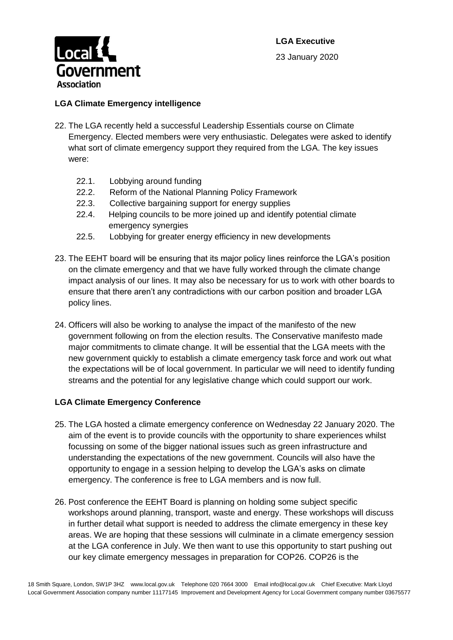



#### **LGA Climate Emergency intelligence**

- 22. The LGA recently held a successful Leadership Essentials course on Climate Emergency. Elected members were very enthusiastic. Delegates were asked to identify what sort of climate emergency support they required from the LGA. The key issues were:
	- 22.1. Lobbying around funding
	- 22.2. Reform of the National Planning Policy Framework
	- 22.3. Collective bargaining support for energy supplies
	- 22.4. Helping councils to be more joined up and identify potential climate emergency synergies
	- 22.5. Lobbying for greater energy efficiency in new developments
- 23. The EEHT board will be ensuring that its major policy lines reinforce the LGA's position on the climate emergency and that we have fully worked through the climate change impact analysis of our lines. It may also be necessary for us to work with other boards to ensure that there aren't any contradictions with our carbon position and broader LGA policy lines.
- 24. Officers will also be working to analyse the impact of the manifesto of the new government following on from the election results. The Conservative manifesto made major commitments to climate change. It will be essential that the LGA meets with the new government quickly to establish a climate emergency task force and work out what the expectations will be of local government. In particular we will need to identify funding streams and the potential for any legislative change which could support our work.

#### **LGA Climate Emergency Conference**

- 25. The LGA hosted a climate emergency conference on Wednesday 22 January 2020. The aim of the event is to provide councils with the opportunity to share experiences whilst focussing on some of the bigger national issues such as green infrastructure and understanding the expectations of the new government. Councils will also have the opportunity to engage in a session helping to develop the LGA's asks on climate emergency. The conference is free to LGA members and is now full.
- 26. Post conference the EEHT Board is planning on holding some subject specific workshops around planning, transport, waste and energy. These workshops will discuss in further detail what support is needed to address the climate emergency in these key areas. We are hoping that these sessions will culminate in a climate emergency session at the LGA conference in July. We then want to use this opportunity to start pushing out our key climate emergency messages in preparation for COP26. COP26 is the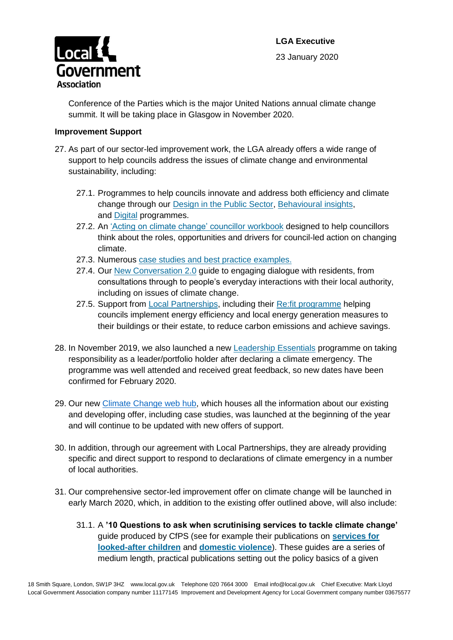

Conference of the Parties which is the major United Nations annual climate change summit. It will be taking place in Glasgow in November 2020.

#### **Improvement Support**

Government

Local 1

**Association** 

- 27. As part of our sector-led improvement work, the LGA already offers a wide range of support to help councils address the issues of climate change and environmental sustainability, including:
	- 27.1. Programmes to help councils innovate and address both efficiency and climate change through our [Design in the Public Sector,](https://local.gov.uk/our-support/efficiency-and-income-generation/design-public-sector) [Behavioural insights,](https://local.gov.uk/our-support/efficiency-and-income-generation/behavioural-insights) and [Digital](https://local.gov.uk/our-support/efficiency-and-income-generation/digital) programmes.
	- 27.2. An ['Acting on climate change' councillor workbook](https://www.local.gov.uk/councillor-workbook-acting-climate-change) designed to help councillors think about the roles, opportunities and drivers for council-led action on changing climate.
	- 27.3. Numerous [case studies and best practice examples.](https://www.local.gov.uk/about/campaigns/climate-change/climate-change-case-studies)
	- 27.4. Our [New Conversation 2.0](https://www.local.gov.uk/sites/default/files/documents/New%20Conversations%20Guide%20refresh_11.pdf) quide to engaging dialogue with residents, from consultations through to people's everyday interactions with their local authority, including on issues of climate change.
	- 27.5. Support from [Local Partnerships,](https://localpartnerships.org.uk/) including their Re:fit [programme](https://localpartnerships.org.uk/our-expertise/refit/) helping councils implement energy efficiency and local energy generation measures to their buildings or their estate, to reduce carbon emissions and achieve savings.
- 28. In November 2019, we also launched a new [Leadership Essentials](https://www.local.gov.uk/our-support/highlighting-political-leadership/leadership-essentials) programme on taking responsibility as a leader/portfolio holder after declaring a climate emergency. The programme was well attended and received great feedback, so new dates have been confirmed for February 2020.
- 29. Our new [Climate Change web hub,](https://www.local.gov.uk/our-support/climate-change) which houses all the information about our existing and developing offer, including case studies, was launched at the beginning of the year and will continue to be updated with new offers of support.
- 30. In addition, through our agreement with Local Partnerships, they are already providing specific and direct support to respond to declarations of climate emergency in a number of local authorities.
- 31. Our comprehensive sector-led improvement offer on climate change will be launched in early March 2020, which, in addition to the existing offer outlined above, will also include:
	- 31.1. A **'10 Questions to ask when scrutinising services to tackle climate change'** guide produced by CfPS (see for example their publications on **[services for](https://www.cfps.org.uk/wp-content/uploads/10-questions.pdf)  [looked-after children](https://www.cfps.org.uk/wp-content/uploads/10-questions.pdf)** and **[domestic violence](https://www.cfps.org.uk/wp-content/uploads/10-Questions-Domestic-Violence.pdf)**). These guides are a series of medium length, practical publications setting out the policy basics of a given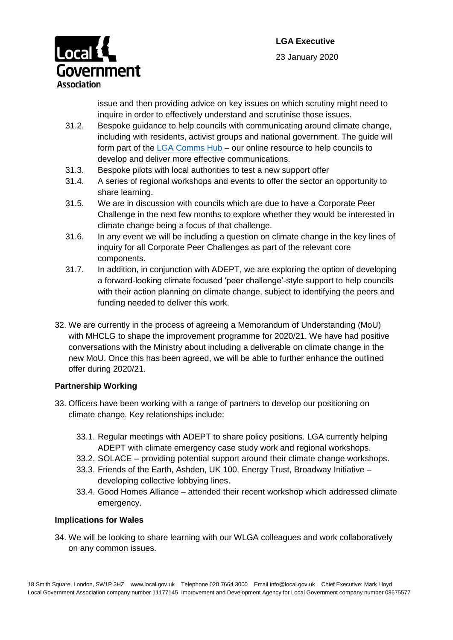

issue and then providing advice on key issues on which scrutiny might need to inquire in order to effectively understand and scrutinise those issues.

- 31.2. Bespoke guidance to help councils with communicating around climate change, including with residents, activist groups and national government. The guide will form part of the [LGA Comms Hub](https://www.local.gov.uk/our-support/guidance-and-resources/comms-hub-communications-support) – our online resource to help councils to develop and deliver more effective communications.
- 31.3. Bespoke pilots with local authorities to test a new support offer
- 31.4. A series of regional workshops and events to offer the sector an opportunity to share learning.
- 31.5. We are in discussion with councils which are due to have a Corporate Peer Challenge in the next few months to explore whether they would be interested in climate change being a focus of that challenge.
- 31.6. In any event we will be including a question on climate change in the key lines of inquiry for all Corporate Peer Challenges as part of the relevant core components.
- 31.7. In addition, in conjunction with ADEPT, we are exploring the option of developing a forward-looking climate focused 'peer challenge'-style support to help councils with their action planning on climate change, subject to identifying the peers and funding needed to deliver this work.
- 32. We are currently in the process of agreeing a Memorandum of Understanding (MoU) with MHCLG to shape the improvement programme for 2020/21. We have had positive conversations with the Ministry about including a deliverable on climate change in the new MoU. Once this has been agreed, we will be able to further enhance the outlined offer during 2020/21.

# **Partnership Working**

- 33. Officers have been working with a range of partners to develop our positioning on climate change. Key relationships include:
	- 33.1. Regular meetings with ADEPT to share policy positions. LGA currently helping ADEPT with climate emergency case study work and regional workshops.
	- 33.2. SOLACE providing potential support around their climate change workshops.
	- 33.3. Friends of the Earth, Ashden, UK 100, Energy Trust, Broadway Initiative developing collective lobbying lines.
	- 33.4. Good Homes Alliance attended their recent workshop which addressed climate emergency.

## **Implications for Wales**

34. We will be looking to share learning with our WLGA colleagues and work collaboratively on any common issues.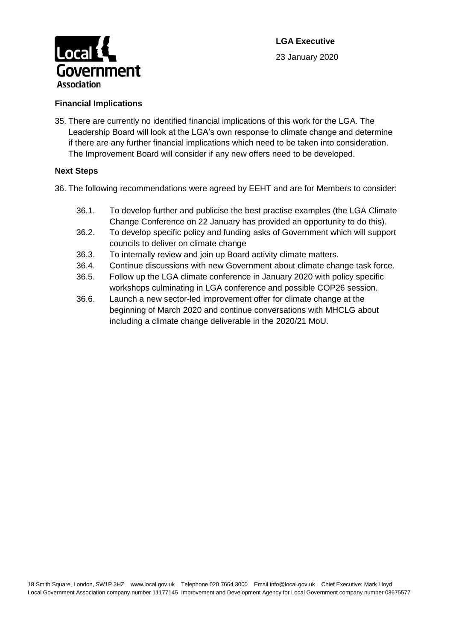

## **Financial Implications**

35. There are currently no identified financial implications of this work for the LGA. The Leadership Board will look at the LGA's own response to climate change and determine if there are any further financial implications which need to be taken into consideration. The Improvement Board will consider if any new offers need to be developed.

#### **Next Steps**

36. The following recommendations were agreed by EEHT and are for Members to consider:

- 36.1. To develop further and publicise the best practise examples (the LGA Climate Change Conference on 22 January has provided an opportunity to do this).
- 36.2. To develop specific policy and funding asks of Government which will support councils to deliver on climate change
- 36.3. To internally review and join up Board activity climate matters.
- 36.4. Continue discussions with new Government about climate change task force.
- 36.5. Follow up the LGA climate conference in January 2020 with policy specific workshops culminating in LGA conference and possible COP26 session.
- 36.6. Launch a new sector-led improvement offer for climate change at the beginning of March 2020 and continue conversations with MHCLG about including a climate change deliverable in the 2020/21 MoU.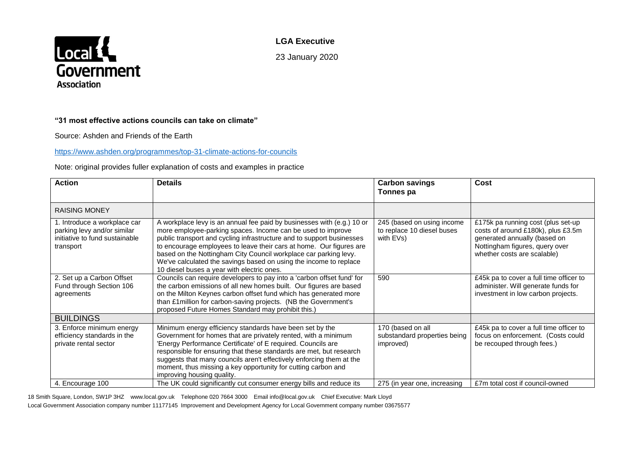

**LGA Executive**

23 January 2020

#### **"31 most effective actions councils can take on climate"**

Source: Ashden and Friends of the Earth

#### <https://www.ashden.org/programmes/top-31-climate-actions-for-councils>

#### Note: original provides fuller explanation of costs and examples in practice

| <b>Action</b>                                                                                              | <b>Details</b>                                                                                                                                                                                                                                                                                                                                                                                                                                                               | <b>Carbon savings</b><br>Tonnes pa                                    | Cost                                                                                                                                                                      |
|------------------------------------------------------------------------------------------------------------|------------------------------------------------------------------------------------------------------------------------------------------------------------------------------------------------------------------------------------------------------------------------------------------------------------------------------------------------------------------------------------------------------------------------------------------------------------------------------|-----------------------------------------------------------------------|---------------------------------------------------------------------------------------------------------------------------------------------------------------------------|
| <b>RAISING MONEY</b>                                                                                       |                                                                                                                                                                                                                                                                                                                                                                                                                                                                              |                                                                       |                                                                                                                                                                           |
| 1. Introduce a workplace car<br>parking levy and/or similar<br>initiative to fund sustainable<br>transport | A workplace levy is an annual fee paid by businesses with (e.g.) 10 or<br>more employee-parking spaces. Income can be used to improve<br>public transport and cycling infrastructure and to support businesses<br>to encourage employees to leave their cars at home. Our figures are<br>based on the Nottingham City Council workplace car parking levy.<br>We've calculated the savings based on using the income to replace<br>10 diesel buses a year with electric ones. | 245 (based on using income<br>to replace 10 diesel buses<br>with EVs) | £175k pa running cost (plus set-up<br>costs of around £180k), plus £3.5m<br>generated annually (based on<br>Nottingham figures, query over<br>whether costs are scalable) |
| 2. Set up a Carbon Offset<br>Fund through Section 106<br>agreements                                        | Councils can require developers to pay into a 'carbon offset fund' for<br>the carbon emissions of all new homes built. Our figures are based<br>on the Milton Keynes carbon offset fund which has generated more<br>than £1 million for carbon-saving projects. (NB the Government's<br>proposed Future Homes Standard may prohibit this.)                                                                                                                                   | 590                                                                   | £45k pa to cover a full time officer to<br>administer. Will generate funds for<br>investment in low carbon projects.                                                      |
| <b>BUILDINGS</b>                                                                                           |                                                                                                                                                                                                                                                                                                                                                                                                                                                                              |                                                                       |                                                                                                                                                                           |
| 3. Enforce minimum energy<br>efficiency standards in the<br>private rental sector                          | Minimum energy efficiency standards have been set by the<br>Government for homes that are privately rented, with a minimum<br>Energy Performance Certificate' of E required. Councils are<br>responsible for ensuring that these standards are met, but research<br>suggests that many councils aren't effectively enforcing them at the<br>moment, thus missing a key opportunity for cutting carbon and<br>improving housing quality.                                      | 170 (based on all<br>substandard properties being<br>improved)        | £45k pa to cover a full time officer to<br>focus on enforcement. (Costs could<br>be recouped through fees.)                                                               |
| 4. Encourage 100                                                                                           | The UK could significantly cut consumer energy bills and reduce its                                                                                                                                                                                                                                                                                                                                                                                                          | 275 (in year one, increasing                                          | £7m total cost if council-owned                                                                                                                                           |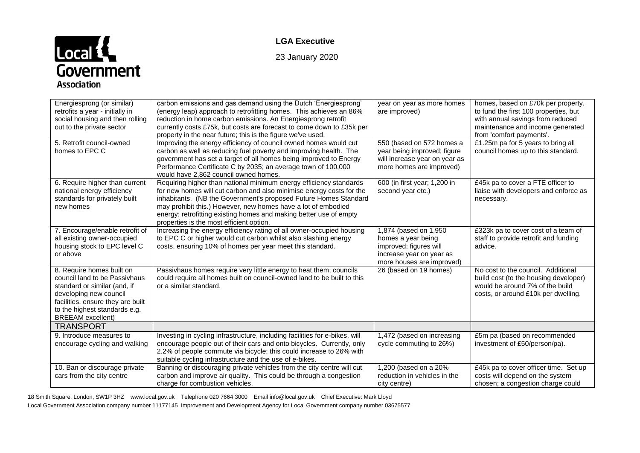# Local<br>Government **Association**

## **LGA Executive**

23 January 2020

| Energiesprong (or similar)<br>retrofits a year - initially in<br>social housing and then rolling<br>out to the private sector                                                                                          | carbon emissions and gas demand using the Dutch 'Energiesprong'<br>(energy leap) approach to retrofitting homes. This achieves an 86%<br>reduction in home carbon emissions. An Energiesprong retrofit<br>currently costs £75k, but costs are forecast to come down to £35k per<br>property in the near future; this is the figure we've used.                                                    | year on year as more homes<br>are improved)                                                                                    | homes, based on £70k per property,<br>to fund the first 100 properties, but<br>with annual savings from reduced<br>maintenance and income generated<br>from 'comfort payments'. |
|------------------------------------------------------------------------------------------------------------------------------------------------------------------------------------------------------------------------|---------------------------------------------------------------------------------------------------------------------------------------------------------------------------------------------------------------------------------------------------------------------------------------------------------------------------------------------------------------------------------------------------|--------------------------------------------------------------------------------------------------------------------------------|---------------------------------------------------------------------------------------------------------------------------------------------------------------------------------|
| 5. Retrofit council-owned<br>homes to EPC C                                                                                                                                                                            | Improving the energy efficiency of council owned homes would cut<br>carbon as well as reducing fuel poverty and improving health. The<br>government has set a target of all homes being improved to Energy<br>Performance Certificate C by 2035; an average town of 100,000<br>would have 2.862 council owned homes.                                                                              | 550 (based on 572 homes a<br>year being improved; figure<br>will increase year on year as<br>more homes are improved)          | $E1.25m$ pa for 5 years to bring all<br>council homes up to this standard.                                                                                                      |
| 6. Require higher than current<br>national energy efficiency<br>standards for privately built<br>new homes                                                                                                             | Requiring higher than national minimum energy efficiency standards<br>for new homes will cut carbon and also minimise energy costs for the<br>inhabitants. (NB the Government's proposed Future Homes Standard<br>may prohibit this.) However, new homes have a lot of embodied<br>energy; retrofitting existing homes and making better use of empty<br>properties is the most efficient option. | 600 (in first year; 1,200 in<br>second year etc.)                                                                              | £45k pa to cover a FTE officer to<br>liaise with developers and enforce as<br>necessary.                                                                                        |
| 7. Encourage/enable retrofit of<br>all existing owner-occupied<br>housing stock to EPC level C<br>or above                                                                                                             | Increasing the energy efficiency rating of all owner-occupied housing<br>to EPC C or higher would cut carbon whilst also slashing energy<br>costs, ensuring 10% of homes per year meet this standard.                                                                                                                                                                                             | 1,874 (based on 1,950<br>homes a year being<br>improved; figures will<br>increase year on year as<br>more houses are improved) | £323k pa to cover cost of a team of<br>staff to provide retrofit and funding<br>advice.                                                                                         |
| 8. Require homes built on<br>council land to be Passivhaus<br>standard or similar (and, if<br>developing new council<br>facilities, ensure they are built<br>to the highest standards e.g.<br><b>BREEAM</b> excellent) | Passivhaus homes require very little energy to heat them; councils<br>could require all homes built on council-owned land to be built to this<br>or a similar standard.                                                                                                                                                                                                                           | 26 (based on 19 homes)                                                                                                         | No cost to the council. Additional<br>build cost (to the housing developer)<br>would be around 7% of the build<br>costs, or around £10k per dwelling.                           |
| <b>TRANSPORT</b>                                                                                                                                                                                                       |                                                                                                                                                                                                                                                                                                                                                                                                   |                                                                                                                                |                                                                                                                                                                                 |
| 9. Introduce measures to<br>encourage cycling and walking                                                                                                                                                              | Investing in cycling infrastructure, including facilities for e-bikes, will<br>encourage people out of their cars and onto bicycles. Currently, only<br>2.2% of people commute via bicycle; this could increase to 26% with<br>suitable cycling infrastructure and the use of e-bikes.                                                                                                            | 1,472 (based on increasing<br>cycle commuting to 26%)                                                                          | £5m pa (based on recommended<br>investment of £50/person/pa).                                                                                                                   |
| 10. Ban or discourage private<br>cars from the city centre                                                                                                                                                             | Banning or discouraging private vehicles from the city centre will cut<br>carbon and improve air quality. This could be through a congestion<br>charge for combustion vehicles.                                                                                                                                                                                                                   | 1,200 (based on a 20%<br>reduction in vehicles in the<br>city centre)                                                          | £45k pa to cover officer time. Set up<br>costs will depend on the system<br>chosen; a congestion charge could                                                                   |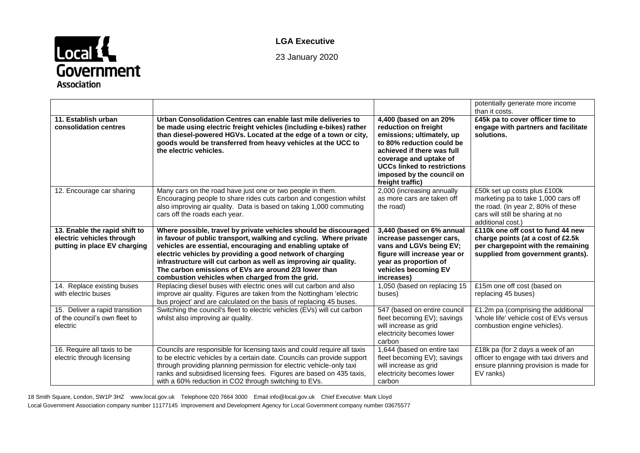

# **LGA Executive**

23 January 2020

|                                                                                            |                                                                                                                                                                                                                                                                                                                                                                                                                                                  |                                                                                                                                                                                                                                                         | potentially generate more income<br>than it costs.                                                                                                                 |
|--------------------------------------------------------------------------------------------|--------------------------------------------------------------------------------------------------------------------------------------------------------------------------------------------------------------------------------------------------------------------------------------------------------------------------------------------------------------------------------------------------------------------------------------------------|---------------------------------------------------------------------------------------------------------------------------------------------------------------------------------------------------------------------------------------------------------|--------------------------------------------------------------------------------------------------------------------------------------------------------------------|
| 11. Establish urban<br>consolidation centres                                               | Urban Consolidation Centres can enable last mile deliveries to<br>be made using electric freight vehicles (including e-bikes) rather<br>than diesel-powered HGVs. Located at the edge of a town or city,<br>goods would be transferred from heavy vehicles at the UCC to<br>the electric vehicles.                                                                                                                                               | 4,400 (based on an 20%<br>reduction on freight<br>emissions; ultimately, up<br>to 80% reduction could be<br>achieved if there was full<br>coverage and uptake of<br><b>UCCs linked to restrictions</b><br>imposed by the council on<br>freight traffic) | £45k pa to cover officer time to<br>engage with partners and facilitate<br>solutions.                                                                              |
| 12. Encourage car sharing                                                                  | Many cars on the road have just one or two people in them.<br>Encouraging people to share rides cuts carbon and congestion whilst<br>also improving air quality. Data is based on taking 1,000 commuting<br>cars off the roads each year.                                                                                                                                                                                                        | 2,000 (increasing annually<br>as more cars are taken off<br>the road)                                                                                                                                                                                   | £50k set up costs plus £100k<br>marketing pa to take 1,000 cars off<br>the road. (In year 2, 80% of these<br>cars will still be sharing at no<br>additional cost.) |
| 13. Enable the rapid shift to<br>electric vehicles through<br>putting in place EV charging | Where possible, travel by private vehicles should be discouraged<br>in favour of public transport, walking and cycling. Where private<br>vehicles are essential, encouraging and enabling uptake of<br>electric vehicles by providing a good network of charging<br>infrastructure will cut carbon as well as improving air quality.<br>The carbon emissions of EVs are around 2/3 lower than<br>combustion vehicles when charged from the grid. | 3,440 (based on 6% annual<br>increase passenger cars,<br>vans and LGVs being EV;<br>figure will increase year or<br>year as proportion of<br>vehicles becoming EV<br>increases)                                                                         | £110k one off cost to fund 44 new<br>charge points (at a cost of £2.5k)<br>per chargepoint with the remaining<br>supplied from government grants).                 |
| 14. Replace existing buses<br>with electric buses                                          | Replacing diesel buses with electric ones will cut carbon and also<br>improve air quality. Figures are taken from the Nottingham 'electric<br>bus project' and are calculated on the basis of replacing 45 buses.                                                                                                                                                                                                                                | 1,050 (based on replacing 15<br>buses)                                                                                                                                                                                                                  | £15m one off cost (based on<br>replacing 45 buses)                                                                                                                 |
| 15. Deliver a rapid transition<br>of the council's own fleet to<br>electric                | Switching the council's fleet to electric vehicles (EVs) will cut carbon<br>whilst also improving air quality.                                                                                                                                                                                                                                                                                                                                   | 547 (based on entire council<br>fleet becoming EV); savings<br>will increase as grid<br>electricity becomes lower<br>carbon                                                                                                                             | £1.2m pa (comprising the additional<br>'whole life' vehicle cost of EVs versus<br>combustion engine vehicles).                                                     |
| 16. Require all taxis to be<br>electric through licensing                                  | Councils are responsible for licensing taxis and could require all taxis<br>to be electric vehicles by a certain date. Councils can provide support<br>through providing planning permission for electric vehicle-only taxi<br>ranks and subsidised licensing fees. Figures are based on 435 taxis,<br>with a 60% reduction in CO2 through switching to EVs.                                                                                     | 1,644 (based on entire taxi<br>fleet becoming EV); savings<br>will increase as grid<br>electricity becomes lower<br>carbon                                                                                                                              | £18k pa (for 2 days a week of an<br>officer to engage with taxi drivers and<br>ensure planning provision is made for<br>EV ranks)                                  |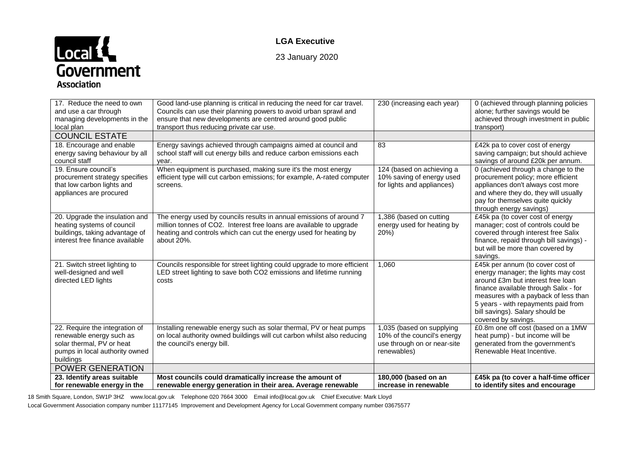# Local<br>Government **Association**

## **LGA Executive**

23 January 2020

| 17. Reduce the need to own<br>and use a car through<br>managing developments in the<br>local plan                                      | Good land-use planning is critical in reducing the need for car travel.<br>Councils can use their planning powers to avoid urban sprawl and<br>ensure that new developments are centred around good public<br>transport thus reducing private car use. | 230 (increasing each year)                                                                             | 0 (achieved through planning policies<br>alone; further savings would be<br>achieved through investment in public<br>transport)                                                                                                                                                                |
|----------------------------------------------------------------------------------------------------------------------------------------|--------------------------------------------------------------------------------------------------------------------------------------------------------------------------------------------------------------------------------------------------------|--------------------------------------------------------------------------------------------------------|------------------------------------------------------------------------------------------------------------------------------------------------------------------------------------------------------------------------------------------------------------------------------------------------|
| <b>COUNCIL ESTATE</b>                                                                                                                  |                                                                                                                                                                                                                                                        |                                                                                                        |                                                                                                                                                                                                                                                                                                |
| 18. Encourage and enable<br>energy saving behaviour by all<br>council staff                                                            | Energy savings achieved through campaigns aimed at council and<br>school staff will cut energy bills and reduce carbon emissions each<br>year.                                                                                                         | 83                                                                                                     | £42k pa to cover cost of energy<br>saving campaign; but should achieve<br>savings of around £20k per annum.                                                                                                                                                                                    |
| 19. Ensure council's<br>procurement strategy specifies<br>that low carbon lights and<br>appliances are procured                        | When equipment is purchased, making sure it's the most energy<br>efficient type will cut carbon emissions; for example, A-rated computer<br>screens.                                                                                                   | 124 (based on achieving a<br>10% saving of energy used<br>for lights and appliances)                   | 0 (achieved through a change to the<br>procurement policy; more efficient<br>appliances don't always cost more<br>and where they do, they will usually<br>pay for themselves quite quickly<br>through energy savings)                                                                          |
| 20. Upgrade the insulation and<br>heating systems of council<br>buildings, taking advantage of<br>interest free finance available      | The energy used by councils results in annual emissions of around 7<br>million tonnes of CO2. Interest free loans are available to upgrade<br>heating and controls which can cut the energy used for heating by<br>about 20%.                          | 1,386 (based on cutting<br>energy used for heating by<br>20%)                                          | £45k pa (to cover cost of energy<br>manager; cost of controls could be<br>covered through interest free Salix<br>finance, repaid through bill savings) -<br>but will be more than covered by<br>savings.                                                                                       |
| 21. Switch street lighting to<br>well-designed and well<br>directed LED lights                                                         | Councils responsible for street lighting could upgrade to more efficient<br>LED street lighting to save both CO2 emissions and lifetime running<br>costs                                                                                               | 1,060                                                                                                  | £45k per annum (to cover cost of<br>energy manager; the lights may cost<br>around £3m but interest free loan<br>finance available through Salix - for<br>measures with a payback of less than<br>5 years - with repayments paid from<br>bill savings). Salary should be<br>covered by savings. |
| 22. Require the integration of<br>renewable energy such as<br>solar thermal, PV or heat<br>pumps in local authority owned<br>buildings | Installing renewable energy such as solar thermal, PV or heat pumps<br>on local authority owned buildings will cut carbon whilst also reducing<br>the council's energy bill.                                                                           | 1,035 (based on supplying<br>10% of the council's energy<br>use through on or near-site<br>renewables) | £0.8m one off cost (based on a 1MW<br>heat pump) - but income will be<br>generated from the government's<br>Renewable Heat Incentive.                                                                                                                                                          |
| <b>POWER GENERATION</b>                                                                                                                |                                                                                                                                                                                                                                                        |                                                                                                        |                                                                                                                                                                                                                                                                                                |
| 23. Identify areas suitable<br>for renewable energy in the                                                                             | Most councils could dramatically increase the amount of<br>renewable energy generation in their area. Average renewable                                                                                                                                | 180,000 (based on an<br>increase in renewable                                                          | £45k pa (to cover a half-time officer<br>to identify sites and encourage                                                                                                                                                                                                                       |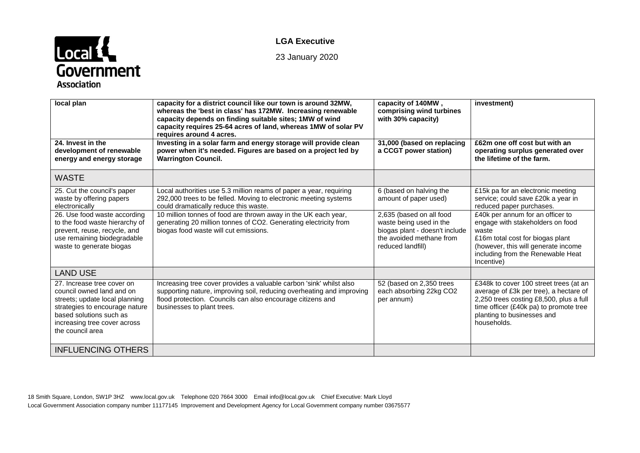

# **LGA Executive**

23 January 2020

| local plan                                                                                                                                                                                                 | capacity for a district council like our town is around 32MW,<br>whereas the 'best in class' has 172MW. Increasing renewable<br>capacity depends on finding suitable sites; 1MW of wind<br>capacity requires 25-64 acres of land, whereas 1MW of solar PV<br>requires around 4 acres. | capacity of 140MW,<br>comprising wind turbines<br>with 30% capacity)                                                                   | investment)                                                                                                                                                                                                        |
|------------------------------------------------------------------------------------------------------------------------------------------------------------------------------------------------------------|---------------------------------------------------------------------------------------------------------------------------------------------------------------------------------------------------------------------------------------------------------------------------------------|----------------------------------------------------------------------------------------------------------------------------------------|--------------------------------------------------------------------------------------------------------------------------------------------------------------------------------------------------------------------|
| 24. Invest in the<br>development of renewable<br>energy and energy storage                                                                                                                                 | Investing in a solar farm and energy storage will provide clean<br>power when it's needed. Figures are based on a project led by<br><b>Warrington Council.</b>                                                                                                                        | 31,000 (based on replacing<br>a CCGT power station)                                                                                    | £62m one off cost but with an<br>operating surplus generated over<br>the lifetime of the farm.                                                                                                                     |
| <b>WASTE</b>                                                                                                                                                                                               |                                                                                                                                                                                                                                                                                       |                                                                                                                                        |                                                                                                                                                                                                                    |
| 25. Cut the council's paper<br>waste by offering papers<br>electronically                                                                                                                                  | Local authorities use 5.3 million reams of paper a year, requiring<br>292,000 trees to be felled. Moving to electronic meeting systems<br>could dramatically reduce this waste.                                                                                                       | 6 (based on halving the<br>amount of paper used)                                                                                       | £15k pa for an electronic meeting<br>service; could save £20k a year in<br>reduced paper purchases.                                                                                                                |
| 26. Use food waste according<br>to the food waste hierarchy of<br>prevent, reuse, recycle, and<br>use remaining biodegradable<br>waste to generate biogas                                                  | 10 million tonnes of food are thrown away in the UK each year,<br>generating 20 million tonnes of CO2. Generating electricity from<br>biogas food waste will cut emissions.                                                                                                           | 2,635 (based on all food<br>waste being used in the<br>biogas plant - doesn't include<br>the avoided methane from<br>reduced landfill) | £40k per annum for an officer to<br>engage with stakeholders on food<br>waste<br>£16m total cost for biogas plant<br>(however, this will generate income<br>including from the Renewable Heat<br>Incentive)        |
| <b>LAND USE</b>                                                                                                                                                                                            |                                                                                                                                                                                                                                                                                       |                                                                                                                                        |                                                                                                                                                                                                                    |
| 27. Increase tree cover on<br>council owned land and on<br>streets; update local planning<br>strategies to encourage nature<br>based solutions such as<br>increasing tree cover across<br>the council area | Increasing tree cover provides a valuable carbon 'sink' whilst also<br>supporting nature, improving soil, reducing overheating and improving<br>flood protection. Councils can also encourage citizens and<br>businesses to plant trees.                                              | 52 (based on 2,350 trees<br>each absorbing 22kg CO2<br>per annum)                                                                      | £348k to cover 100 street trees (at an<br>average of £3k per tree), a hectare of<br>2,250 trees costing £8,500, plus a full<br>time officer (£40k pa) to promote tree<br>planting to businesses and<br>households. |
| <b>INFLUENCING OTHERS</b>                                                                                                                                                                                  |                                                                                                                                                                                                                                                                                       |                                                                                                                                        |                                                                                                                                                                                                                    |